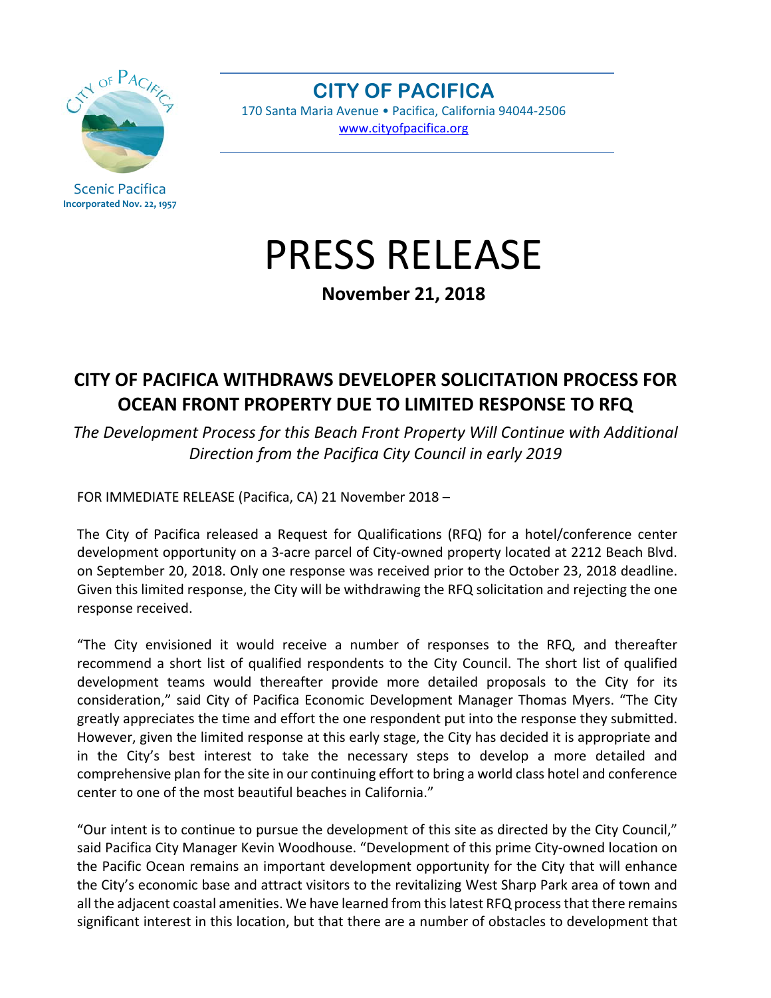

Scenic Pacifica **Incorporated Nov. 22, 1957**

**CITY OF PACIFICA**  170 Santa Maria Avenue • Pacifica, California 94044-2506 www.cityofpacifica.org

## PRESS RELEASE

**November 21, 2018** 

## **CITY OF PACIFICA WITHDRAWS DEVELOPER SOLICITATION PROCESS FOR OCEAN FRONT PROPERTY DUE TO LIMITED RESPONSE TO RFQ**

*The Development Process for this Beach Front Property Will Continue with Additional Direction from the Pacifica City Council in early 2019* 

FOR IMMEDIATE RELEASE (Pacifica, CA) 21 November 2018 –

The City of Pacifica released a Request for Qualifications (RFQ) for a hotel/conference center development opportunity on a 3-acre parcel of City-owned property located at 2212 Beach Blvd. on September 20, 2018. Only one response was received prior to the October 23, 2018 deadline. Given this limited response, the City will be withdrawing the RFQ solicitation and rejecting the one response received.

"The City envisioned it would receive a number of responses to the RFQ, and thereafter recommend a short list of qualified respondents to the City Council. The short list of qualified development teams would thereafter provide more detailed proposals to the City for its consideration," said City of Pacifica Economic Development Manager Thomas Myers. "The City greatly appreciates the time and effort the one respondent put into the response they submitted. However, given the limited response at this early stage, the City has decided it is appropriate and in the City's best interest to take the necessary steps to develop a more detailed and comprehensive plan for the site in our continuing effort to bring a world class hotel and conference center to one of the most beautiful beaches in California."

"Our intent is to continue to pursue the development of this site as directed by the City Council," said Pacifica City Manager Kevin Woodhouse. "Development of this prime City-owned location on the Pacific Ocean remains an important development opportunity for the City that will enhance the City's economic base and attract visitors to the revitalizing West Sharp Park area of town and all the adjacent coastal amenities. We have learned from this latest RFQ process that there remains significant interest in this location, but that there are a number of obstacles to development that